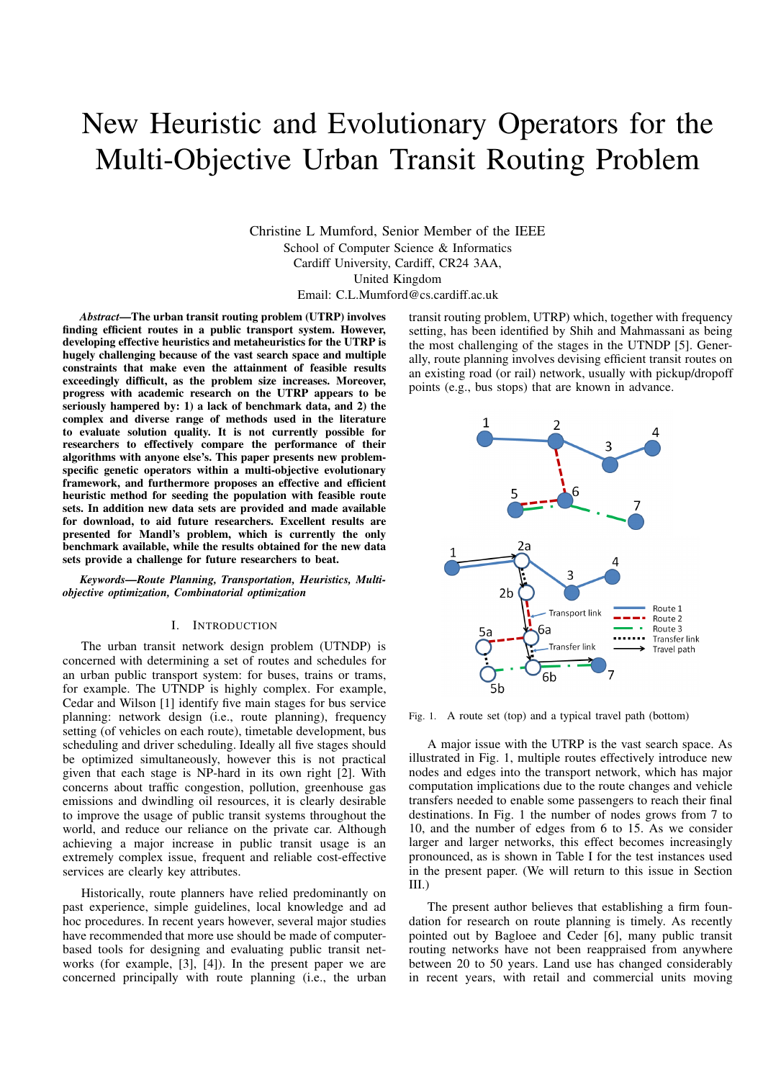# New Heuristic and Evolutionary Operators for the Multi-Objective Urban Transit Routing Problem

Christine L Mumford, Senior Member of the IEEE School of Computer Science & Informatics Cardiff University, Cardiff, CR24 3AA, United Kingdom

Email: C.L.Mumford@cs.cardiff.ac.uk

*Abstract***—The urban transit routing problem (UTRP) involves finding efficient routes in a public transport system. However, developing effective heuristics and metaheuristics for the UTRP is hugely challenging because of the vast search space and multiple constraints that make even the attainment of feasible results exceedingly difficult, as the problem size increases. Moreover, progress with academic research on the UTRP appears to be seriously hampered by: 1) a lack of benchmark data, and 2) the complex and diverse range of methods used in the literature to evaluate solution quality. It is not currently possible for researchers to effectively compare the performance of their algorithms with anyone else's. This paper presents new problemspecific genetic operators within a multi-objective evolutionary framework, and furthermore proposes an effective and efficient heuristic method for seeding the population with feasible route sets. In addition new data sets are provided and made available for download, to aid future researchers. Excellent results are presented for Mandl's problem, which is currently the only benchmark available, while the results obtained for the new data sets provide a challenge for future researchers to beat.**

*Keywords***—***Route Planning, Transportation, Heuristics, Multiobjective optimization, Combinatorial optimization*

## I. INTRODUCTION

The urban transit network design problem (UTNDP) is concerned with determining a set of routes and schedules for an urban public transport system: for buses, trains or trams, for example. The UTNDP is highly complex. For example, Cedar and Wilson [1] identify five main stages for bus service planning: network design (i.e., route planning), frequency setting (of vehicles on each route), timetable development, bus scheduling and driver scheduling. Ideally all five stages should be optimized simultaneously, however this is not practical given that each stage is NP-hard in its own right [2]. With concerns about traffic congestion, pollution, greenhouse gas emissions and dwindling oil resources, it is clearly desirable to improve the usage of public transit systems throughout the world, and reduce our reliance on the private car. Although achieving a major increase in public transit usage is an extremely complex issue, frequent and reliable cost-effective services are clearly key attributes.

Historically, route planners have relied predominantly on past experience, simple guidelines, local knowledge and ad hoc procedures. In recent years however, several major studies have recommended that more use should be made of computerbased tools for designing and evaluating public transit networks (for example, [3], [4]). In the present paper we are concerned principally with route planning (i.e., the urban

transit routing problem, UTRP) which, together with frequency setting, has been identified by Shih and Mahmassani as being the most challenging of the stages in the UTNDP [5]. Generally, route planning involves devising efficient transit routes on an existing road (or rail) network, usually with pickup/dropoff points (e.g., bus stops) that are known in advance.



Fig. 1. A route set (top) and a typical travel path (bottom)

A major issue with the UTRP is the vast search space. As illustrated in Fig. 1, multiple routes effectively introduce new nodes and edges into the transport network, which has major computation implications due to the route changes and vehicle transfers needed to enable some passengers to reach their final destinations. In Fig. 1 the number of nodes grows from 7 to 10, and the number of edges from 6 to 15. As we consider larger and larger networks, this effect becomes increasingly pronounced, as is shown in Table I for the test instances used in the present paper. (We will return to this issue in Section III.)

The present author believes that establishing a firm foundation for research on route planning is timely. As recently pointed out by Bagloee and Ceder [6], many public transit routing networks have not been reappraised from anywhere between 20 to 50 years. Land use has changed considerably in recent years, with retail and commercial units moving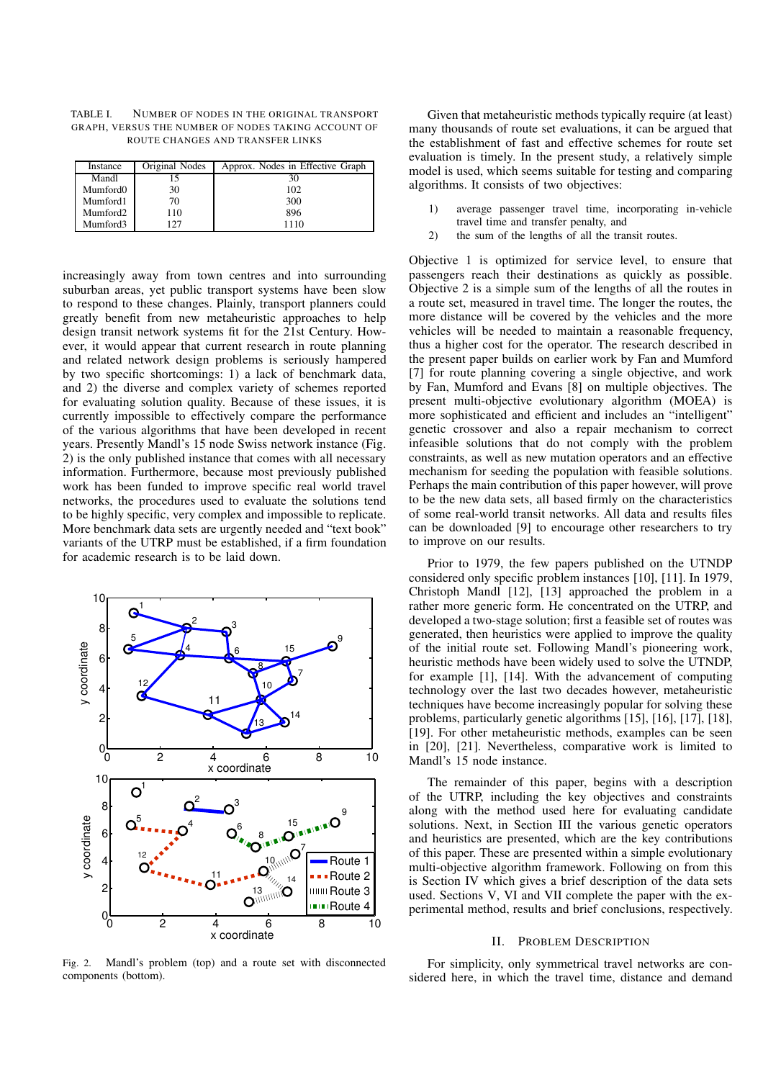TABLE I. NUMBER OF NODES IN THE ORIGINAL TRANSPORT GRAPH, VERSUS THE NUMBER OF NODES TAKING ACCOUNT OF ROUTE CHANGES AND TRANSFER LINKS

| Instance             | Original Nodes | Approx. Nodes in Effective Graph |
|----------------------|----------------|----------------------------------|
| Mandl                |                | 30                               |
| Mumford0             | 30             | 102                              |
| Mumford1             | 70             | 300                              |
| Mumford <sub>2</sub> | 110            | 896                              |
| Mumford3             | 127            | 1110                             |

increasingly away from town centres and into surrounding suburban areas, yet public transport systems have been slow to respond to these changes. Plainly, transport planners could greatly benefit from new metaheuristic approaches to help design transit network systems fit for the 21st Century. However, it would appear that current research in route planning and related network design problems is seriously hampered by two specific shortcomings: 1) a lack of benchmark data, and 2) the diverse and complex variety of schemes reported for evaluating solution quality. Because of these issues, it is currently impossible to effectively compare the performance of the various algorithms that have been developed in recent years. Presently Mandl's 15 node Swiss network instance (Fig. 2) is the only published instance that comes with all necessary information. Furthermore, because most previously published work has been funded to improve specific real world travel networks, the procedures used to evaluate the solutions tend to be highly specific, very complex and impossible to replicate. More benchmark data sets are urgently needed and "text book" variants of the UTRP must be established, if a firm foundation for academic research is to be laid down.



Fig. 2. Mandl's problem (top) and a route set with disconnected components (bottom).

Given that metaheuristic methods typically require (at least) many thousands of route set evaluations, it can be argued that the establishment of fast and effective schemes for route set evaluation is timely. In the present study, a relatively simple model is used, which seems suitable for testing and comparing algorithms. It consists of two objectives:

- 1) average passenger travel time, incorporating in-vehicle travel time and transfer penalty, and
- 2) the sum of the lengths of all the transit routes.

Objective 1 is optimized for service level, to ensure that passengers reach their destinations as quickly as possible. Objective 2 is a simple sum of the lengths of all the routes in a route set, measured in travel time. The longer the routes, the more distance will be covered by the vehicles and the more vehicles will be needed to maintain a reasonable frequency, thus a higher cost for the operator. The research described in the present paper builds on earlier work by Fan and Mumford [7] for route planning covering a single objective, and work by Fan, Mumford and Evans [8] on multiple objectives. The present multi-objective evolutionary algorithm (MOEA) is more sophisticated and efficient and includes an "intelligent" genetic crossover and also a repair mechanism to correct infeasible solutions that do not comply with the problem constraints, as well as new mutation operators and an effective mechanism for seeding the population with feasible solutions. Perhaps the main contribution of this paper however, will prove to be the new data sets, all based firmly on the characteristics of some real-world transit networks. All data and results files can be downloaded [9] to encourage other researchers to try to improve on our results.

Prior to 1979, the few papers published on the UTNDP considered only specific problem instances [10], [11]. In 1979, Christoph Mandl [12], [13] approached the problem in a rather more generic form. He concentrated on the UTRP, and developed a two-stage solution; first a feasible set of routes was generated, then heuristics were applied to improve the quality of the initial route set. Following Mandl's pioneering work, heuristic methods have been widely used to solve the UTNDP, for example [1], [14]. With the advancement of computing technology over the last two decades however, metaheuristic techniques have become increasingly popular for solving these problems, particularly genetic algorithms [15], [16], [17], [18], [19]. For other metaheuristic methods, examples can be seen in [20], [21]. Nevertheless, comparative work is limited to Mandl's 15 node instance.

The remainder of this paper, begins with a description of the UTRP, including the key objectives and constraints along with the method used here for evaluating candidate solutions. Next, in Section III the various genetic operators and heuristics are presented, which are the key contributions of this paper. These are presented within a simple evolutionary multi-objective algorithm framework. Following on from this is Section IV which gives a brief description of the data sets used. Sections V, VI and VII complete the paper with the experimental method, results and brief conclusions, respectively.

#### II. PROBLEM DESCRIPTION

For simplicity, only symmetrical travel networks are considered here, in which the travel time, distance and demand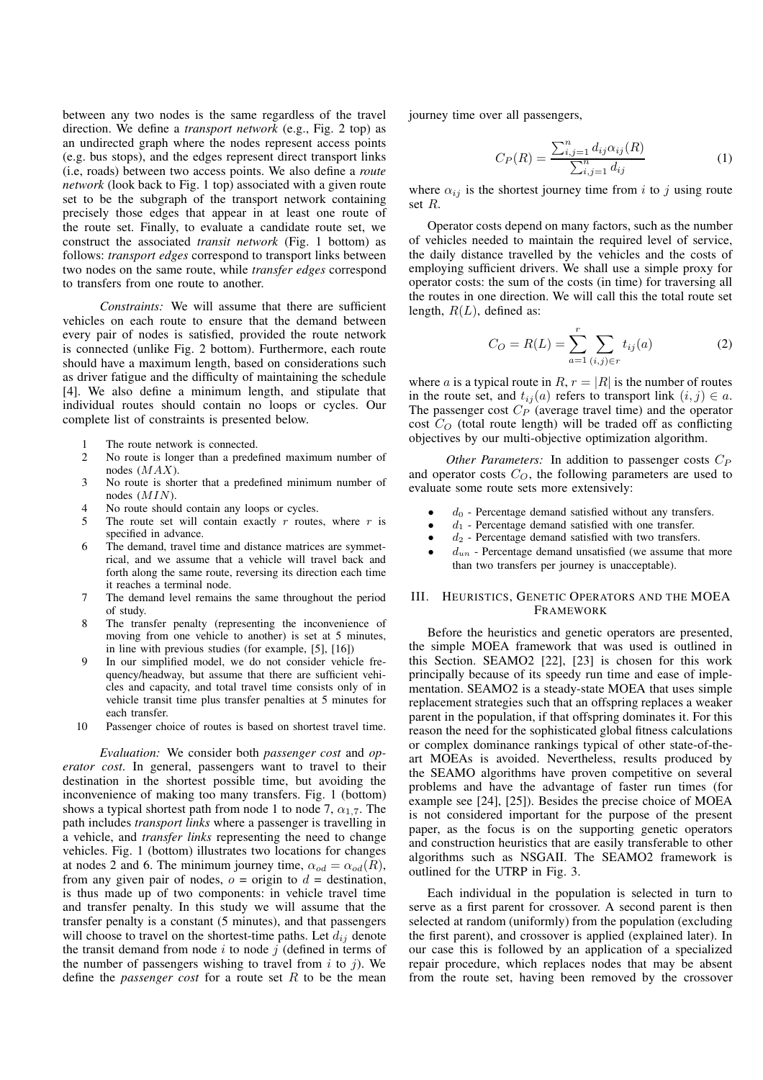between any two nodes is the same regardless of the travel direction. We define a *transport network* (e.g., Fig. 2 top) as an undirected graph where the nodes represent access points (e.g. bus stops), and the edges represent direct transport links (i.e, roads) between two access points. We also define a *route network* (look back to Fig. 1 top) associated with a given route set to be the subgraph of the transport network containing precisely those edges that appear in at least one route of the route set. Finally, to evaluate a candidate route set, we construct the associated *transit network* (Fig. 1 bottom) as follows: *transport edges* correspond to transport links between two nodes on the same route, while *transfer edges* correspond to transfers from one route to another.

*Constraints:* We will assume that there are sufficient vehicles on each route to ensure that the demand between every pair of nodes is satisfied, provided the route network is connected (unlike Fig. 2 bottom). Furthermore, each route should have a maximum length, based on considerations such as driver fatigue and the difficulty of maintaining the schedule [4]. We also define a minimum length, and stipulate that individual routes should contain no loops or cycles. Our complete list of constraints is presented below.

- 1 The route network is connected.<br>2 No route is longer than a prede
- 2 No route is longer than a predefined maximum number of nodes (MAX).
- 3 No route is shorter that a predefined minimum number of nodes (MIN).
- No route should contain any loops or cycles.
- 5 The route set will contain exactly  $r$  routes, where  $r$  is specified in advance.
- 6 The demand, travel time and distance matrices are symmetrical, and we assume that a vehicle will travel back and forth along the same route, reversing its direction each time it reaches a terminal node.
- The demand level remains the same throughout the period of study.
- The transfer penalty (representing the inconvenience of moving from one vehicle to another) is set at 5 minutes, in line with previous studies (for example, [5], [16])
- 9 In our simplified model, we do not consider vehicle frequency/headway, but assume that there are sufficient vehicles and capacity, and total travel time consists only of in vehicle transit time plus transfer penalties at 5 minutes for each transfer.
- 10 Passenger choice of routes is based on shortest travel time.

*Evaluation:* We consider both *passenger cost* and *operator cost*. In general, passengers want to travel to their destination in the shortest possible time, but avoiding the inconvenience of making too many transfers. Fig. 1 (bottom) shows a typical shortest path from node 1 to node 7,  $\alpha_{1.7}$ . The path includes *transport links* where a passenger is travelling in a vehicle, and *transfer links* representing the need to change vehicles. Fig. 1 (bottom) illustrates two locations for changes at nodes 2 and 6. The minimum journey time,  $\alpha_{od} = \alpha_{od}(R)$ , from any given pair of nodes,  $o = origin$  to  $d =$  destination, is thus made up of two components: in vehicle travel time and transfer penalty. In this study we will assume that the transfer penalty is a constant (5 minutes), and that passengers will choose to travel on the shortest-time paths. Let  $d_{ij}$  denote the transit demand from node  $i$  to node  $j$  (defined in terms of the number of passengers wishing to travel from i to j). We define the *passenger cost* for a route set R to be the mean

journey time over all passengers,

$$
C_P(R) = \frac{\sum_{i,j=1}^n d_{ij} \alpha_{ij}(R)}{\sum_{i,j=1}^n d_{ij}} \tag{1}
$$

where  $\alpha_{ij}$  is the shortest journey time from i to j using route set R.

Operator costs depend on many factors, such as the number of vehicles needed to maintain the required level of service, the daily distance travelled by the vehicles and the costs of employing sufficient drivers. We shall use a simple proxy for operator costs: the sum of the costs (in time) for traversing all the routes in one direction. We will call this the total route set length,  $R(L)$ , defined as:

$$
C_O = R(L) = \sum_{a=1}^{r} \sum_{(i,j) \in r} t_{ij}(a)
$$
 (2)

where a is a typical route in  $R, r = |R|$  is the number of routes in the route set, and  $t_{ij}(a)$  refers to transport link  $(i, j) \in a$ . The passenger cost  $C_P$  (average travel time) and the operator cost  $C<sub>O</sub>$  (total route length) will be traded off as conflicting objectives by our multi-objective optimization algorithm.

*Other Parameters:* In addition to passenger costs  $C_P$ and operator costs  $C<sub>O</sub>$ , the following parameters are used to evaluate some route sets more extensively:

- $d_0$  Percentage demand satisfied without any transfers.
- $d_1$  Percentage demand satisfied with one transfer.
- $d_2$  Percentage demand satisfied with two transfers.
- $d_{un}$  Percentage demand unsatisfied (we assume that more than two transfers per journey is unacceptable).

## III. HEURISTICS, GENETIC OPERATORS AND THE MOEA FRAMEWORK

Before the heuristics and genetic operators are presented, the simple MOEA framework that was used is outlined in this Section. SEAMO2 [22], [23] is chosen for this work principally because of its speedy run time and ease of implementation. SEAMO2 is a steady-state MOEA that uses simple replacement strategies such that an offspring replaces a weaker parent in the population, if that offspring dominates it. For this reason the need for the sophisticated global fitness calculations or complex dominance rankings typical of other state-of-theart MOEAs is avoided. Nevertheless, results produced by the SEAMO algorithms have proven competitive on several problems and have the advantage of faster run times (for example see [24], [25]). Besides the precise choice of MOEA is not considered important for the purpose of the present paper, as the focus is on the supporting genetic operators and construction heuristics that are easily transferable to other algorithms such as NSGAII. The SEAMO2 framework is outlined for the UTRP in Fig. 3.

Each individual in the population is selected in turn to serve as a first parent for crossover. A second parent is then selected at random (uniformly) from the population (excluding the first parent), and crossover is applied (explained later). In our case this is followed by an application of a specialized repair procedure, which replaces nodes that may be absent from the route set, having been removed by the crossover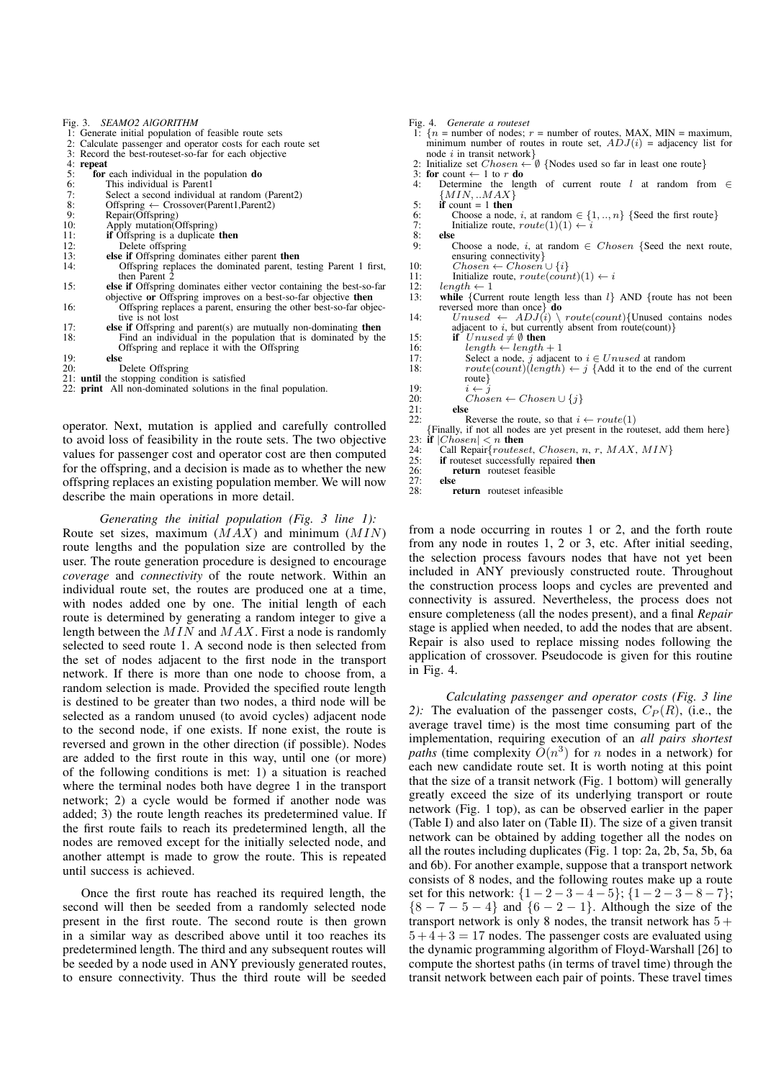|     | Fig. 3. SEAMO2 AlGORITHM                                                          |  |  |  |  |  |
|-----|-----------------------------------------------------------------------------------|--|--|--|--|--|
|     | 1: Generate initial population of feasible route sets                             |  |  |  |  |  |
|     | 2: Calculate passenger and operator costs for each route set                      |  |  |  |  |  |
|     | 3: Record the best-routeset-so-far for each objective                             |  |  |  |  |  |
|     | 4: repeat                                                                         |  |  |  |  |  |
| 5:  | for each individual in the population do                                          |  |  |  |  |  |
| 6:  | This individual is Parent1                                                        |  |  |  |  |  |
| 7:  | Select a second individual at random (Parent2)                                    |  |  |  |  |  |
| 8:  | Offspring $\leftarrow$ Crossover(Parent1, Parent2)                                |  |  |  |  |  |
| 9:  | Repair(Offspring)                                                                 |  |  |  |  |  |
| 10: | Apply mutation(Offspring)                                                         |  |  |  |  |  |
| 11: | <b>if</b> Offspring is a duplicate <b>then</b>                                    |  |  |  |  |  |
| 12: | Delete offspring                                                                  |  |  |  |  |  |
| 13: | else if Offspring dominates either parent then                                    |  |  |  |  |  |
| 14: | Offspring replaces the dominated parent, testing Parent 1 first,                  |  |  |  |  |  |
|     | then Parent 2                                                                     |  |  |  |  |  |
| 15: | <b>else if</b> Offspring dominates either vector containing the best-so-far       |  |  |  |  |  |
|     | objective or Offspring improves on a best-so-far objective then                   |  |  |  |  |  |
| 16: | Offspring replaces a parent, ensuring the other best-so-far objec-                |  |  |  |  |  |
|     | tive is not lost                                                                  |  |  |  |  |  |
| 17: | <b>else if</b> Offspring and parent $(s)$ are mutually non-dominating <b>then</b> |  |  |  |  |  |
| 18: | Find an individual in the population that is dominated by the                     |  |  |  |  |  |
|     | Offspring and replace it with the Offspring                                       |  |  |  |  |  |
| 19: | else                                                                              |  |  |  |  |  |
| 20: | Delete Offspring                                                                  |  |  |  |  |  |

20: Delete Offspring 21: **until** the stopping condition is satisfied

22: **print** All non-dominated solutions in the final population.

operator. Next, mutation is applied and carefully controlled to avoid loss of feasibility in the route sets. The two objective values for passenger cost and operator cost are then computed for the offspring, and a decision is made as to whether the new offspring replaces an existing population member. We will now describe the main operations in more detail.

*Generating the initial population (Fig. 3 line 1):* Route set sizes, maximum  $(MAX)$  and minimum  $(MIN)$ route lengths and the population size are controlled by the user. The route generation procedure is designed to encourage *coverage* and *connectivity* of the route network. Within an individual route set, the routes are produced one at a time, with nodes added one by one. The initial length of each route is determined by generating a random integer to give a length between the  $MIN$  and  $MAX$ . First a node is randomly selected to seed route 1. A second node is then selected from the set of nodes adjacent to the first node in the transport network. If there is more than one node to choose from, a random selection is made. Provided the specified route length is destined to be greater than two nodes, a third node will be selected as a random unused (to avoid cycles) adjacent node to the second node, if one exists. If none exist, the route is reversed and grown in the other direction (if possible). Nodes are added to the first route in this way, until one (or more) of the following conditions is met: 1) a situation is reached where the terminal nodes both have degree 1 in the transport network; 2) a cycle would be formed if another node was added; 3) the route length reaches its predetermined value. If the first route fails to reach its predetermined length, all the nodes are removed except for the initially selected node, and another attempt is made to grow the route. This is repeated until success is achieved.

Once the first route has reached its required length, the second will then be seeded from a randomly selected node present in the first route. The second route is then grown in a similar way as described above until it too reaches its predetermined length. The third and any subsequent routes will be seeded by a node used in ANY previously generated routes, to ensure connectivity. Thus the third route will be seeded

|     | Fig. 4. Generate a routeset                                                            |  |  |  |  |  |
|-----|----------------------------------------------------------------------------------------|--|--|--|--|--|
|     | 1: $\{n =$ number of nodes; $r =$ number of routes, MAX, MIN = maximum,                |  |  |  |  |  |
|     | minimum number of routes in route set, $ADJ(i)$ = adjacency list for                   |  |  |  |  |  |
|     | node $i$ in transit network $\}$                                                       |  |  |  |  |  |
|     | 2: Initialize set $Chosen \leftarrow \emptyset$ {Nodes used so far in least one route} |  |  |  |  |  |
|     | 3: for count $\leftarrow$ 1 to r do                                                    |  |  |  |  |  |
| 4:  | Determine the length of current route l at random from $\in$                           |  |  |  |  |  |
|     | ${MIN,  MAX}$                                                                          |  |  |  |  |  |
| 5:  | if count $= 1$ then                                                                    |  |  |  |  |  |
| 6:  | Choose a node, <i>i</i> , at random $\in \{1, , n\}$ {Seed the first route}            |  |  |  |  |  |
| 7:  | Initialize route, $route(1)(1) \leftarrow i$                                           |  |  |  |  |  |
| 8:  | else                                                                                   |  |  |  |  |  |
| 9:  | Choose a node, i, at random $\in Chosen$ {Seed the next route,                         |  |  |  |  |  |
|     | ensuring connectivity $\}$                                                             |  |  |  |  |  |
| 10: | $Chosen \leftarrow Chosen \cup \{i\}$                                                  |  |  |  |  |  |
| 11: | Initialize route, $route(count)(1) \leftarrow i$                                       |  |  |  |  |  |
| 12: | $length \leftarrow 1$                                                                  |  |  |  |  |  |
| 13: | while {Current route length less than $l$ } AND {route has not been                    |  |  |  |  |  |
|     | reversed more than once do                                                             |  |  |  |  |  |
| 14: | $Unused \leftarrow ADJ(i) \setminus route(count)$ {Unused contains nodes               |  |  |  |  |  |
|     | adjacent to i, but currently absent from route (count) $\}$                            |  |  |  |  |  |
| 15: | if $Unused \neq \emptyset$ then                                                        |  |  |  |  |  |
| 16: | $length \leftarrow length + 1$                                                         |  |  |  |  |  |
| 17: | Select a node, j adjacent to $i \in Unused$ at random                                  |  |  |  |  |  |
| 18: | $route(count)(length) \leftarrow j$ {Add it to the end of the current                  |  |  |  |  |  |
|     | route $\}$                                                                             |  |  |  |  |  |
| 19: | $i \leftarrow j$                                                                       |  |  |  |  |  |
| 20: | $Chosen \leftarrow Chosen \cup \{j\}$                                                  |  |  |  |  |  |
| 21: | else                                                                                   |  |  |  |  |  |
| 22: | Reverse the route, so that $i \leftarrow route(1)$                                     |  |  |  |  |  |
|     | $\{Finally, if not all nodes are yet present in the routeset, add them here\}$         |  |  |  |  |  |
|     | 23: if $ Chosen  < n$ then                                                             |  |  |  |  |  |
| 24: | Call Repair $\{routeset, Chosen, n, r, MAX, MIN\}$                                     |  |  |  |  |  |
| 25: | <b>if</b> routeset successfully repaired <b>then</b>                                   |  |  |  |  |  |
| 26: | return routeset feasible                                                               |  |  |  |  |  |

27: **else return** routeset infeasible

from a node occurring in routes 1 or 2, and the forth route from any node in routes 1, 2 or 3, etc. After initial seeding, the selection process favours nodes that have not yet been included in ANY previously constructed route. Throughout the construction process loops and cycles are prevented and connectivity is assured. Nevertheless, the process does not ensure completeness (all the nodes present), and a final *Repair* stage is applied when needed, to add the nodes that are absent. Repair is also used to replace missing nodes following the application of crossover. Pseudocode is given for this routine in Fig. 4.

*Calculating passenger and operator costs (Fig. 3 line* 2): The evaluation of the passenger costs,  $C_P(R)$ , (i.e., the average travel time) is the most time consuming part of the implementation, requiring execution of an *all pairs shortest paths* (time complexity  $\tilde{O}(n^3)$  for *n* nodes in a network) for each new candidate route set. It is worth noting at this point that the size of a transit network (Fig. 1 bottom) will generally greatly exceed the size of its underlying transport or route network (Fig. 1 top), as can be observed earlier in the paper (Table I) and also later on (Table II). The size of a given transit network can be obtained by adding together all the nodes on all the routes including duplicates (Fig. 1 top: 2a, 2b, 5a, 5b, 6a and 6b). For another example, suppose that a transport network consists of 8 nodes, and the following routes make up a route set for this network:  $\{1 - 2 - 3 - 4 - 5\}$ ;  $\{1 - 2 - 3 - 8 - 7\}$ ;  ${8 - 7 - 5 - 4}$  and  ${6 - 2 - 1}$ . Although the size of the transport network is only 8 nodes, the transit network has  $5 +$  $5 + 4 + 3 = 17$  nodes. The passenger costs are evaluated using the dynamic programming algorithm of Floyd-Warshall [26] to compute the shortest paths (in terms of travel time) through the transit network between each pair of points. These travel times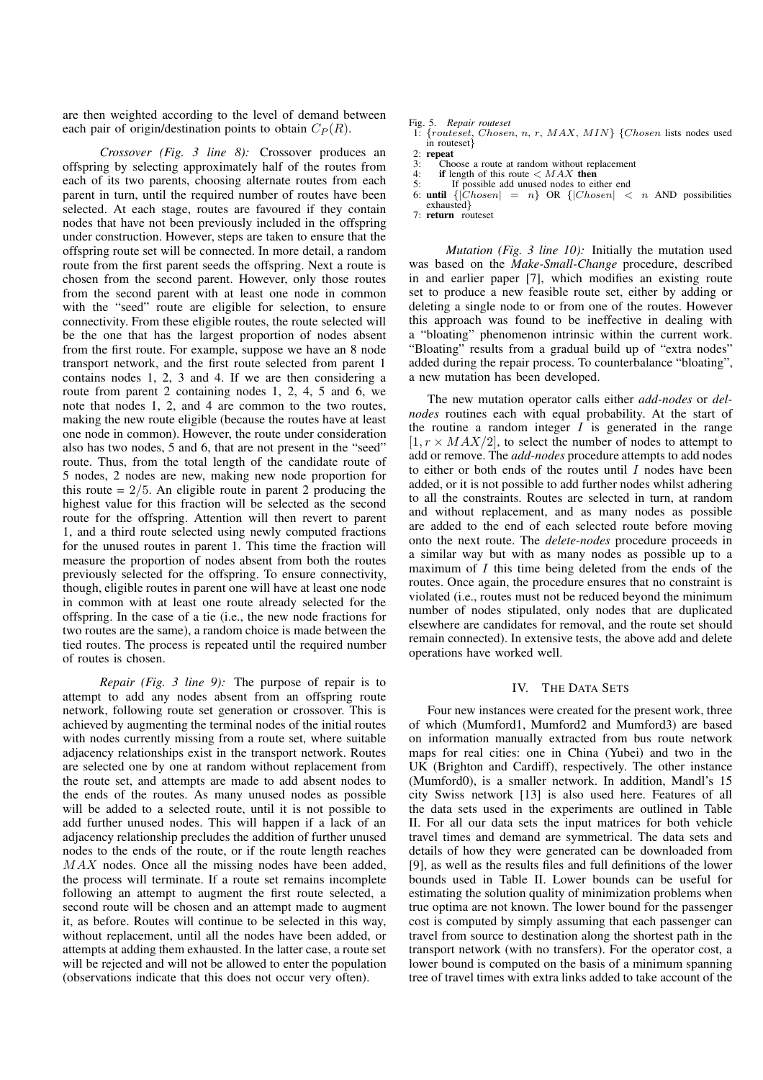are then weighted according to the level of demand between each pair of origin/destination points to obtain  $C_P(R)$ .

*Crossover (Fig. 3 line 8):* Crossover produces an offspring by selecting approximately half of the routes from each of its two parents, choosing alternate routes from each parent in turn, until the required number of routes have been selected. At each stage, routes are favoured if they contain nodes that have not been previously included in the offspring under construction. However, steps are taken to ensure that the offspring route set will be connected. In more detail, a random route from the first parent seeds the offspring. Next a route is chosen from the second parent. However, only those routes from the second parent with at least one node in common with the "seed" route are eligible for selection, to ensure connectivity. From these eligible routes, the route selected will be the one that has the largest proportion of nodes absent from the first route. For example, suppose we have an 8 node transport network, and the first route selected from parent 1 contains nodes 1, 2, 3 and 4. If we are then considering a route from parent 2 containing nodes 1, 2, 4, 5 and 6, we note that nodes 1, 2, and 4 are common to the two routes, making the new route eligible (because the routes have at least one node in common). However, the route under consideration also has two nodes, 5 and 6, that are not present in the "seed" route. Thus, from the total length of the candidate route of 5 nodes, 2 nodes are new, making new node proportion for this route  $= 2/5$ . An eligible route in parent 2 producing the highest value for this fraction will be selected as the second route for the offspring. Attention will then revert to parent 1, and a third route selected using newly computed fractions for the unused routes in parent 1. This time the fraction will measure the proportion of nodes absent from both the routes previously selected for the offspring. To ensure connectivity, though, eligible routes in parent one will have at least one node in common with at least one route already selected for the offspring. In the case of a tie (i.e., the new node fractions for two routes are the same), a random choice is made between the tied routes. The process is repeated until the required number of routes is chosen.

*Repair (Fig. 3 line 9):* The purpose of repair is to attempt to add any nodes absent from an offspring route network, following route set generation or crossover. This is achieved by augmenting the terminal nodes of the initial routes with nodes currently missing from a route set, where suitable adjacency relationships exist in the transport network. Routes are selected one by one at random without replacement from the route set, and attempts are made to add absent nodes to the ends of the routes. As many unused nodes as possible will be added to a selected route, until it is not possible to add further unused nodes. This will happen if a lack of an adjacency relationship precludes the addition of further unused nodes to the ends of the route, or if the route length reaches MAX nodes. Once all the missing nodes have been added, the process will terminate. If a route set remains incomplete following an attempt to augment the first route selected, a second route will be chosen and an attempt made to augment it, as before. Routes will continue to be selected in this way, without replacement, until all the nodes have been added, or attempts at adding them exhausted. In the latter case, a route set will be rejected and will not be allowed to enter the population (observations indicate that this does not occur very often).

Fig. 5. *Repair routeset*

 ${routest, Chosen, n, r, MAX, MIN}$  {Chosen lists nodes used in routeset}

- 3: Choose a route at random without replacement  $4$ : **if** length of this route  $\lt MAX$  then
- 4: **if** length of this route < MAX **then** 5: If possible add unused nodes to either end
- 
- 6: **until**  $\{|\text{Chosen}| = n\}$  OR  $\{|\text{Chosen}| < n$  AND possibilities exhausted }
- 7: **return** routeset

*Mutation (Fig. 3 line 10):* Initially the mutation used was based on the *Make-Small-Change* procedure, described in and earlier paper [7], which modifies an existing route set to produce a new feasible route set, either by adding or deleting a single node to or from one of the routes. However this approach was found to be ineffective in dealing with a "bloating" phenomenon intrinsic within the current work. "Bloating" results from a gradual build up of "extra nodes" added during the repair process. To counterbalance "bloating", a new mutation has been developed.

The new mutation operator calls either *add-nodes* or *delnodes* routines each with equal probability. At the start of the routine a random integer  $I$  is generated in the range  $[1, r \times MAX/2]$ , to select the number of nodes to attempt to add or remove. The *add-nodes* procedure attempts to add nodes to either or both ends of the routes until  $I$  nodes have been added, or it is not possible to add further nodes whilst adhering to all the constraints. Routes are selected in turn, at random and without replacement, and as many nodes as possible are added to the end of each selected route before moving onto the next route. The *delete-nodes* procedure proceeds in a similar way but with as many nodes as possible up to a maximum of  $I$  this time being deleted from the ends of the routes. Once again, the procedure ensures that no constraint is violated (i.e., routes must not be reduced beyond the minimum number of nodes stipulated, only nodes that are duplicated elsewhere are candidates for removal, and the route set should remain connected). In extensive tests, the above add and delete operations have worked well.

### IV. THE DATA SETS

Four new instances were created for the present work, three of which (Mumford1, Mumford2 and Mumford3) are based on information manually extracted from bus route network maps for real cities: one in China (Yubei) and two in the UK (Brighton and Cardiff), respectively. The other instance (Mumford0), is a smaller network. In addition, Mandl's 15 city Swiss network [13] is also used here. Features of all the data sets used in the experiments are outlined in Table II. For all our data sets the input matrices for both vehicle travel times and demand are symmetrical. The data sets and details of how they were generated can be downloaded from [9], as well as the results files and full definitions of the lower bounds used in Table II. Lower bounds can be useful for estimating the solution quality of minimization problems when true optima are not known. The lower bound for the passenger cost is computed by simply assuming that each passenger can travel from source to destination along the shortest path in the transport network (with no transfers). For the operator cost, a lower bound is computed on the basis of a minimum spanning tree of travel times with extra links added to take account of the

 $rac{2}{3}$ **repeat**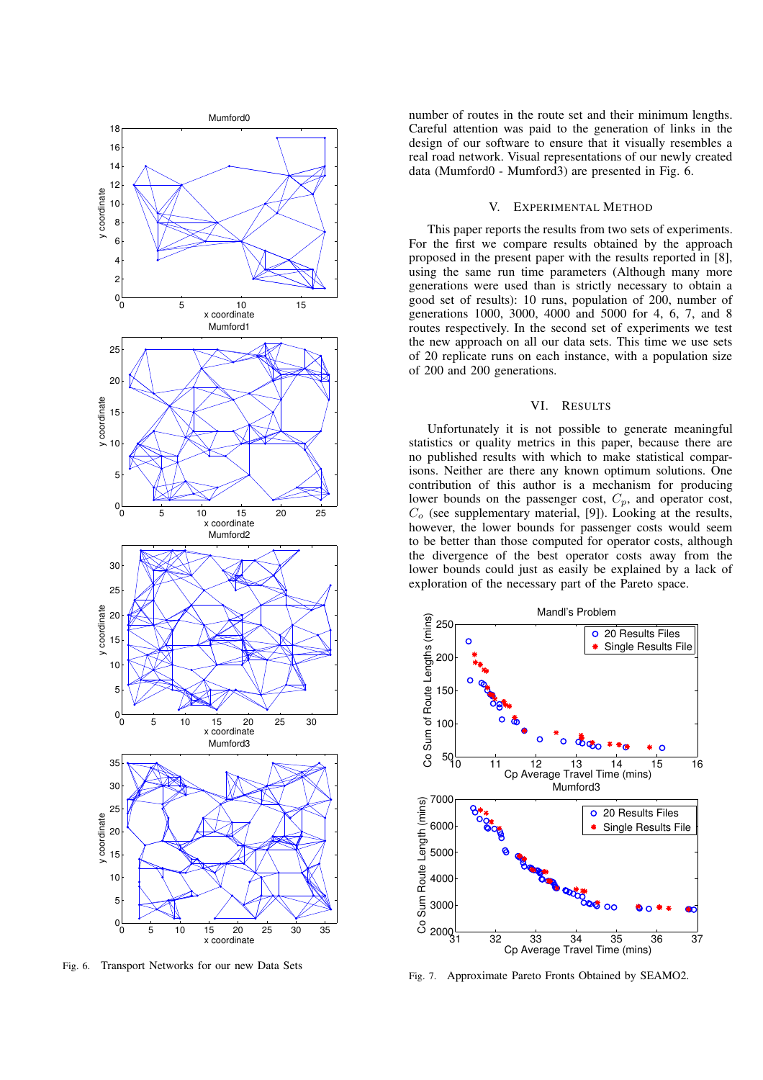

Fig. 6. Transport Networks for our new Data Sets

number of routes in the route set and their minimum lengths. Careful attention was paid to the generation of links in the design of our software to ensure that it visually resembles a real road network. Visual representations of our newly created data (Mumford0 - Mumford3) are presented in Fig. 6.

## V. EXPERIMENTAL METHOD

This paper reports the results from two sets of experiments. For the first we compare results obtained by the approach proposed in the present paper with the results reported in [8], using the same run time parameters (Although many more generations were used than is strictly necessary to obtain a good set of results): 10 runs, population of 200, number of generations 1000, 3000, 4000 and 5000 for 4, 6, 7, and 8 routes respectively. In the second set of experiments we test the new approach on all our data sets. This time we use sets of 20 replicate runs on each instance, with a population size of 200 and 200 generations.

#### VI. RESULTS

Unfortunately it is not possible to generate meaningful statistics or quality metrics in this paper, because there are no published results with which to make statistical comparisons. Neither are there any known optimum solutions. One contribution of this author is a mechanism for producing lower bounds on the passenger cost,  $C_p$ , and operator cost,  $C<sub>o</sub>$  (see supplementary material, [9]). Looking at the results, however, the lower bounds for passenger costs would seem to be better than those computed for operator costs, although the divergence of the best operator costs away from the lower bounds could just as easily be explained by a lack of exploration of the necessary part of the Pareto space.



Fig. 7. Approximate Pareto Fronts Obtained by SEAMO2.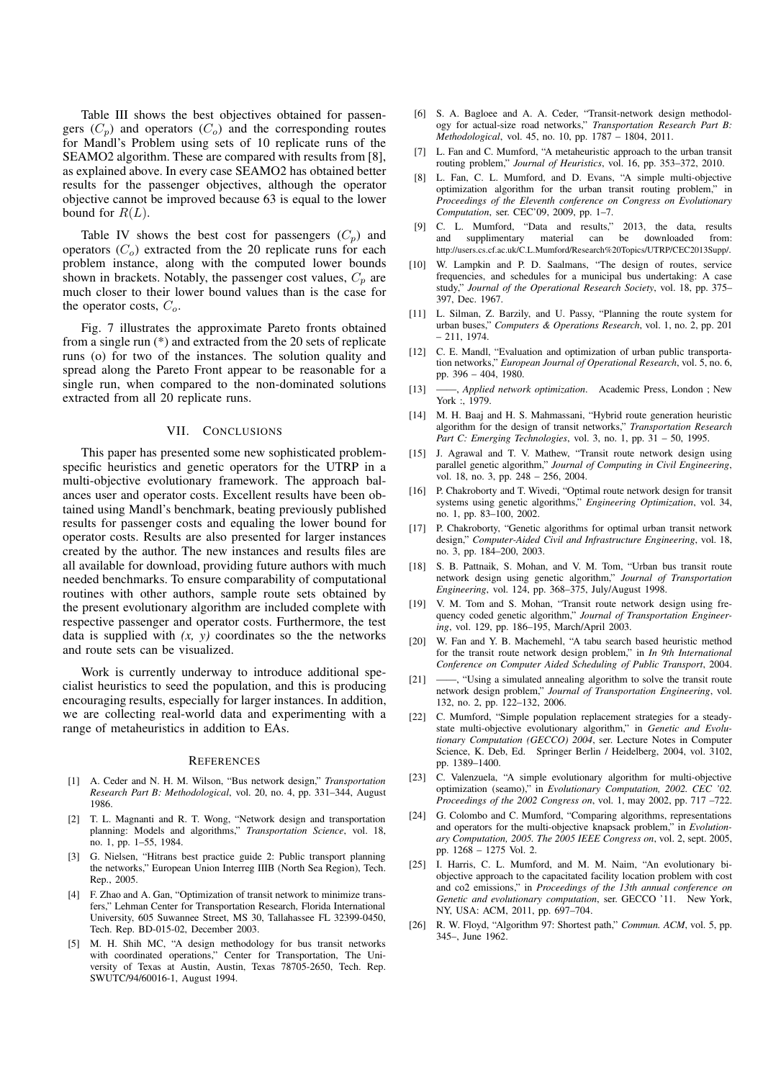Table III shows the best objectives obtained for passengers  $(C_p)$  and operators  $(C_o)$  and the corresponding routes for Mandl's Problem using sets of 10 replicate runs of the SEAMO2 algorithm. These are compared with results from [8], as explained above. In every case SEAMO2 has obtained better results for the passenger objectives, although the operator objective cannot be improved because 63 is equal to the lower bound for  $R(L)$ .

Table IV shows the best cost for passengers  $(C_p)$  and operators  $(C_o)$  extracted from the 20 replicate runs for each problem instance, along with the computed lower bounds shown in brackets. Notably, the passenger cost values,  $C_p$  are much closer to their lower bound values than is the case for the operator costs,  $C<sub>o</sub>$ .

Fig. 7 illustrates the approximate Pareto fronts obtained from a single run (\*) and extracted from the 20 sets of replicate runs (o) for two of the instances. The solution quality and spread along the Pareto Front appear to be reasonable for a single run, when compared to the non-dominated solutions extracted from all 20 replicate runs.

#### VII. CONCLUSIONS

This paper has presented some new sophisticated problemspecific heuristics and genetic operators for the UTRP in a multi-objective evolutionary framework. The approach balances user and operator costs. Excellent results have been obtained using Mandl's benchmark, beating previously published results for passenger costs and equaling the lower bound for operator costs. Results are also presented for larger instances created by the author. The new instances and results files are all available for download, providing future authors with much needed benchmarks. To ensure comparability of computational routines with other authors, sample route sets obtained by the present evolutionary algorithm are included complete with respective passenger and operator costs. Furthermore, the test data is supplied with  $(x, y)$  coordinates so the the networks and route sets can be visualized.

Work is currently underway to introduce additional specialist heuristics to seed the population, and this is producing encouraging results, especially for larger instances. In addition, we are collecting real-world data and experimenting with a range of metaheuristics in addition to EAs.

#### **REFERENCES**

- [1] A. Ceder and N. H. M. Wilson, "Bus network design," *Transportation Research Part B: Methodological*, vol. 20, no. 4, pp. 331–344, August 1986.
- [2] T. L. Magnanti and R. T. Wong, "Network design and transportation planning: Models and algorithms," *Transportation Science*, vol. 18, no. 1, pp. 1–55, 1984.
- [3] G. Nielsen, "Hitrans best practice guide 2: Public transport planning the networks," European Union Interreg IIIB (North Sea Region), Tech. Rep., 2005.
- [4] F. Zhao and A. Gan, "Optimization of transit network to minimize transfers," Lehman Center for Transportation Research, Florida International University, 605 Suwannee Street, MS 30, Tallahassee FL 32399-0450, Tech. Rep. BD-015-02, December 2003.
- [5] M. H. Shih MC, "A design methodology for bus transit networks with coordinated operations," Center for Transportation, The University of Texas at Austin, Austin, Texas 78705-2650, Tech. Rep. SWUTC/94/60016-1, August 1994.
- [6] S. A. Bagloee and A. A. Ceder, "Transit-network design methodology for actual-size road networks," *Transportation Research Part B: Methodological*, vol. 45, no. 10, pp. 1787 – 1804, 2011.
- [7] L. Fan and C. Mumford, "A metaheuristic approach to the urban transit routing problem," *Journal of Heuristics*, vol. 16, pp. 353–372, 2010.
- [8] L. Fan, C. L. Mumford, and D. Evans, "A simple multi-objective optimization algorithm for the urban transit routing problem," in *Proceedings of the Eleventh conference on Congress on Evolutionary Computation*, ser. CEC'09, 2009, pp. 1–7.
- [9] C. L. Mumford, "Data and results," 2013, the data, results and supplimentary material can be downloaded from: http://users.cs.cf.ac.uk/C.L.Mumford/Research%20Topics/UTRP/CEC2013Supp/.
- [10] W. Lampkin and P. D. Saalmans, "The design of routes, service frequencies, and schedules for a municipal bus undertaking: A case study," *Journal of the Operational Research Society*, vol. 18, pp. 375– 397, Dec. 1967.
- [11] L. Silman, Z. Barzily, and U. Passy, "Planning the route system for urban buses," *Computers & Operations Research*, vol. 1, no. 2, pp. 201 – 211, 1974.
- [12] C. E. Mandl, "Evaluation and optimization of urban public transportation networks," *European Journal of Operational Research*, vol. 5, no. 6, pp. 396 – 404, 1980.
- [13] ——, *Applied network optimization*. Academic Press, London ; New York :, 1979.
- [14] M. H. Baaj and H. S. Mahmassani, "Hybrid route generation heuristic algorithm for the design of transit networks," *Transportation Research Part C: Emerging Technologies*, vol. 3, no. 1, pp. 31 – 50, 1995.
- [15] J. Agrawal and T. V. Mathew, "Transit route network design using parallel genetic algorithm," *Journal of Computing in Civil Engineering*, vol. 18, no. 3, pp. 248 – 256, 2004.
- [16] P. Chakroborty and T. Wivedi, "Optimal route network design for transit systems using genetic algorithms," *Engineering Optimization*, vol. 34, no. 1, pp. 83–100, 2002.
- [17] P. Chakroborty, "Genetic algorithms for optimal urban transit network design," *Computer-Aided Civil and Infrastructure Engineering*, vol. 18, no. 3, pp. 184–200, 2003.
- [18] S. B. Pattnaik, S. Mohan, and V. M. Tom, "Urban bus transit route network design using genetic algorithm," *Journal of Transportation Engineering*, vol. 124, pp. 368–375, July/August 1998.
- [19] V. M. Tom and S. Mohan, "Transit route network design using frequency coded genetic algorithm," *Journal of Transportation Engineering*, vol. 129, pp. 186–195, March/April 2003.
- [20] W. Fan and Y. B. Machemehl, "A tabu search based heuristic method for the transit route network design problem," in *In 9th International Conference on Computer Aided Scheduling of Public Transport*, 2004.
- [21] ——, "Using a simulated annealing algorithm to solve the transit route network design problem," *Journal of Transportation Engineering*, vol. 132, no. 2, pp. 122–132, 2006.
- [22] C. Mumford, "Simple population replacement strategies for a steadystate multi-objective evolutionary algorithm," in *Genetic and Evolutionary Computation (GECCO) 2004*, ser. Lecture Notes in Computer Science, K. Deb, Ed. Springer Berlin / Heidelberg, 2004, vol. 3102, pp. 1389–1400.
- [23] C. Valenzuela, "A simple evolutionary algorithm for multi-objective optimization (seamo)," in *Evolutionary Computation, 2002. CEC '02. Proceedings of the 2002 Congress on*, vol. 1, may 2002, pp. 717 –722.
- [24] G. Colombo and C. Mumford, "Comparing algorithms, representations and operators for the multi-objective knapsack problem," in *Evolutionary Computation, 2005. The 2005 IEEE Congress on*, vol. 2, sept. 2005, pp. 1268 – 1275 Vol. 2.
- [25] I. Harris, C. L. Mumford, and M. M. Naim, "An evolutionary biobjective approach to the capacitated facility location problem with cost and co2 emissions," in *Proceedings of the 13th annual conference on Genetic and evolutionary computation*, ser. GECCO '11. New York, NY, USA: ACM, 2011, pp. 697–704.
- [26] R. W. Floyd, "Algorithm 97: Shortest path," *Commun. ACM*, vol. 5, pp. 345–, June 1962.